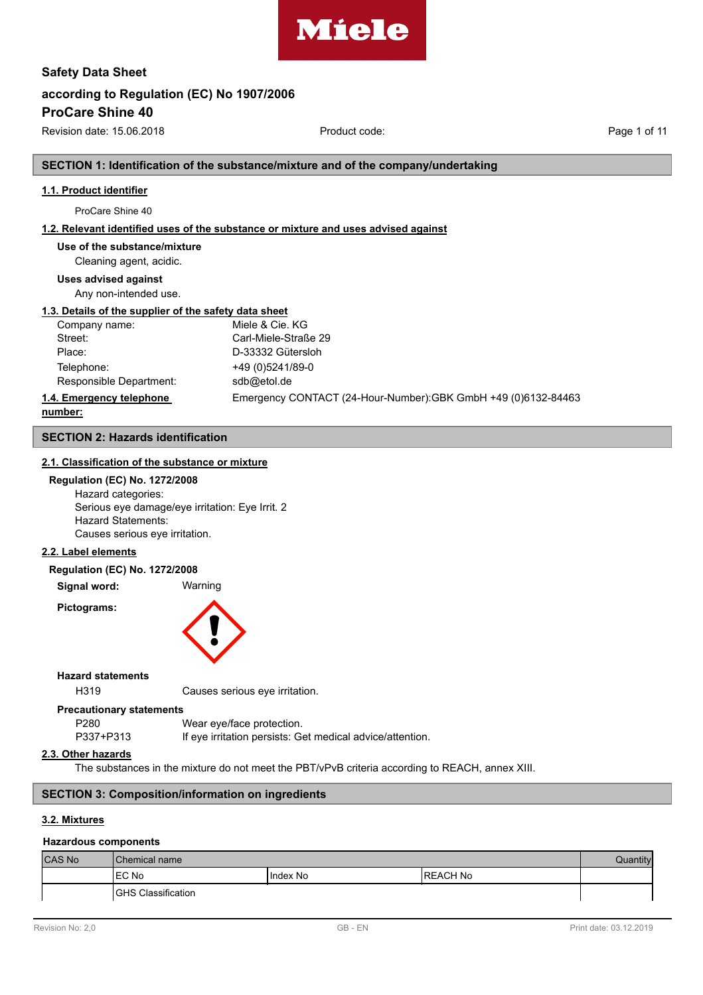

# **according to Regulation (EC) No 1907/2006 Safety Data Sheet**

**ProCare Shine 40**

Revision date: 15.06.2018 **Product code:** Product code: Page 1 of 11

**SECTION 1: Identification of the substance/mixture and of the company/undertaking**

# **1.1. Product identifier**

ProCare Shine 40

## **1.2. Relevant identified uses of the substance or mixture and uses advised against**

**Use of the substance/mixture**

# Cleaning agent, acidic.

**Uses advised against**

Any non-intended use.

#### **1.3. Details of the supplier of the safety data sheet**

| Company name:            | Miele & Cie. KG                                               |
|--------------------------|---------------------------------------------------------------|
| Street:                  | Carl-Miele-Straße 29                                          |
| Place:                   | D-33332 Gütersloh                                             |
| Telephone:               | +49 (0)5241/89-0                                              |
| Responsible Department:  | sdb@etol.de                                                   |
| 1.4. Emergency telephone | Emergency CONTACT (24-Hour-Number):GBK GmbH +49 (0)6132-84463 |

#### **number:**

# **SECTION 2: Hazards identification**

# **2.1. Classification of the substance or mixture**

#### **Regulation (EC) No. 1272/2008**

Hazard categories: Serious eye damage/eye irritation: Eye Irrit. 2 Hazard Statements: Causes serious eye irritation.

# **2.2. Label elements**

#### **Regulation (EC) No. 1272/2008**

**Signal word:** Warning

**Pictograms:**



#### **Hazard statements**

H319 Causes serious eye irritation.

#### **Precautionary statements**

| P280      | Wear eye/face protection.                                 |
|-----------|-----------------------------------------------------------|
| P337+P313 | If eye irritation persists: Get medical advice/attention. |

#### **2.3. Other hazards**

The substances in the mixture do not meet the PBT/vPvB criteria according to REACH, annex XIII.

# **SECTION 3: Composition/information on ingredients**

### **3.2. Mixtures**

#### **Hazardous components**

| <b>CAS No</b> | <b>I</b> Chemical name     |          |                  |  |
|---------------|----------------------------|----------|------------------|--|
|               | 'EC No                     | Index No | <b>IREACH No</b> |  |
|               | <b>IGHS Classification</b> |          |                  |  |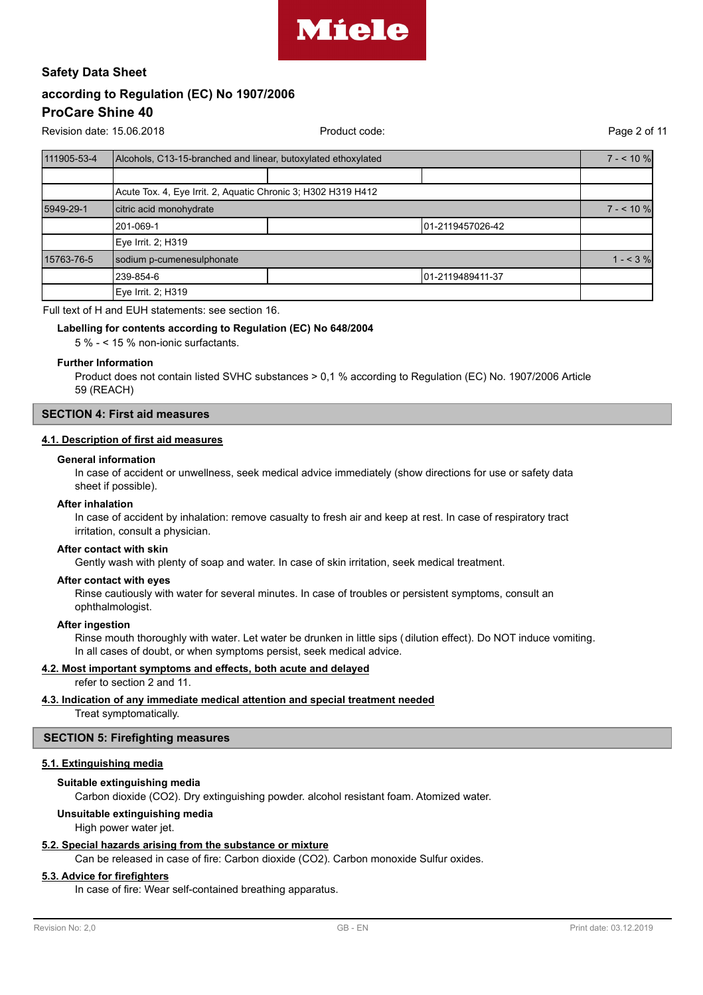

Revision date: 15.06.2018 Product code: Page 2 of 11

| 111905-53-4 | Alcohols, C13-15-branched and linear, butoxylated ethoxylated |                  |  |  |  |  |
|-------------|---------------------------------------------------------------|------------------|--|--|--|--|
|             |                                                               |                  |  |  |  |  |
|             | Acute Tox. 4, Eye Irrit. 2, Aquatic Chronic 3; H302 H319 H412 |                  |  |  |  |  |
| 5949-29-1   | citric acid monohydrate                                       |                  |  |  |  |  |
|             | 1201-069-1                                                    | 01-2119457026-42 |  |  |  |  |
|             | Eye Irrit. 2; H319                                            |                  |  |  |  |  |
| 15763-76-5  | sodium p-cumenesulphonate                                     |                  |  |  |  |  |
|             | 1239-854-6<br>01-2119489411-37                                |                  |  |  |  |  |
|             | Eye Irrit. 2; H319                                            |                  |  |  |  |  |

### Full text of H and EUH statements: see section 16.

#### **Labelling for contents according to Regulation (EC) No 648/2004**

5 % - < 15 % non-ionic surfactants.

#### **Further Information**

Product does not contain listed SVHC substances > 0,1 % according to Regulation (EC) No. 1907/2006 Article 59 (REACH)

### **SECTION 4: First aid measures**

### **4.1. Description of first aid measures**

#### **General information**

In case of accident or unwellness, seek medical advice immediately (show directions for use or safety data sheet if possible).

#### **After inhalation**

In case of accident by inhalation: remove casualty to fresh air and keep at rest. In case of respiratory tract irritation, consult a physician.

#### **After contact with skin**

Gently wash with plenty of soap and water. In case of skin irritation, seek medical treatment.

#### **After contact with eyes**

Rinse cautiously with water for several minutes. In case of troubles or persistent symptoms, consult an ophthalmologist.

#### **After ingestion**

Rinse mouth thoroughly with water. Let water be drunken in little sips (dilution effect). Do NOT induce vomiting. In all cases of doubt, or when symptoms persist, seek medical advice.

#### **4.2. Most important symptoms and effects, both acute and delayed**

refer to section 2 and 11.

#### **4.3. Indication of any immediate medical attention and special treatment needed**

Treat symptomatically.

#### **SECTION 5: Firefighting measures**

#### **5.1. Extinguishing media**

#### **Suitable extinguishing media**

Carbon dioxide (CO2). Dry extinguishing powder. alcohol resistant foam. Atomized water.

#### **Unsuitable extinguishing media**

High power water jet.

#### **5.2. Special hazards arising from the substance or mixture**

Can be released in case of fire: Carbon dioxide (CO2). Carbon monoxide Sulfur oxides.

#### **5.3. Advice for firefighters**

In case of fire: Wear self-contained breathing apparatus.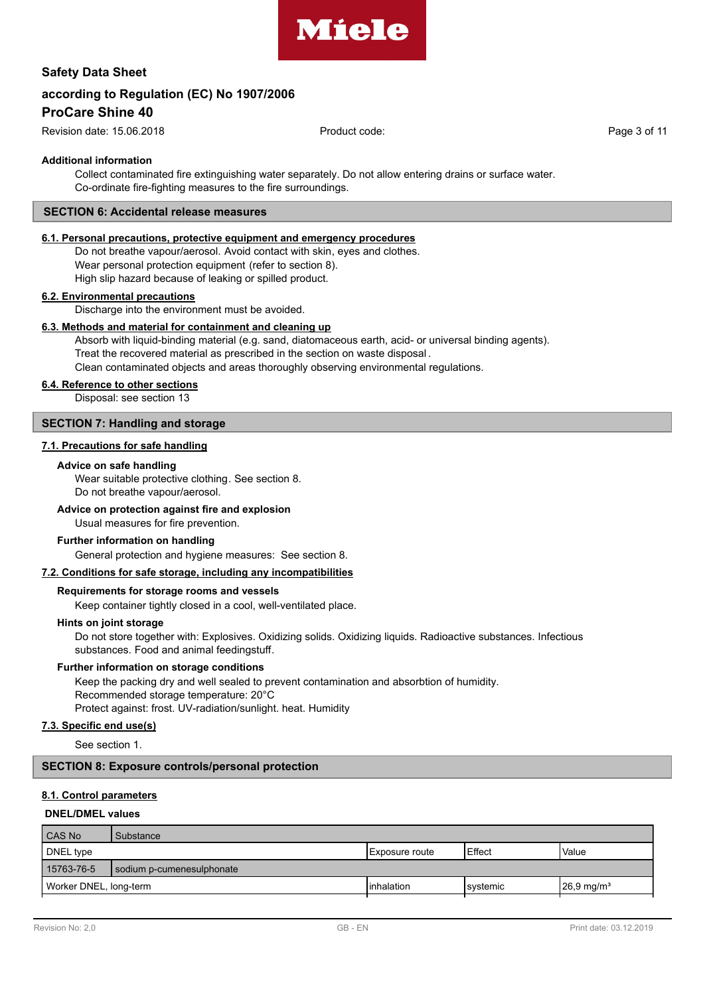

# **according to Regulation (EC) No 1907/2006**

# **ProCare Shine 40**

Revision date: 15.06.2018 Product code: Page 3 of 11

#### **Additional information**

Collect contaminated fire extinguishing water separately. Do not allow entering drains or surface water. Co-ordinate fire-fighting measures to the fire surroundings.

#### **SECTION 6: Accidental release measures**

# **6.1. Personal precautions, protective equipment and emergency procedures**

Do not breathe vapour/aerosol. Avoid contact with skin, eyes and clothes. Wear personal protection equipment (refer to section 8). High slip hazard because of leaking or spilled product.

#### **6.2. Environmental precautions**

Discharge into the environment must be avoided.

#### **6.3. Methods and material for containment and cleaning up**

Absorb with liquid-binding material (e.g. sand, diatomaceous earth, acid- or universal binding agents). Treat the recovered material as prescribed in the section on waste disposal . Clean contaminated objects and areas thoroughly observing environmental regulations.

#### **6.4. Reference to other sections**

Disposal: see section 13

#### **SECTION 7: Handling and storage**

#### **7.1. Precautions for safe handling**

#### **Advice on safe handling**

Wear suitable protective clothing. See section 8. Do not breathe vapour/aerosol.

#### **Advice on protection against fire and explosion**

Usual measures for fire prevention.

#### **Further information on handling**

General protection and hygiene measures: See section 8.

#### **7.2. Conditions for safe storage, including any incompatibilities**

### **Requirements for storage rooms and vessels**

Keep container tightly closed in a cool, well-ventilated place.

#### **Hints on joint storage**

Do not store together with: Explosives. Oxidizing solids. Oxidizing liquids. Radioactive substances. Infectious substances. Food and animal feedingstuff.

#### **Further information on storage conditions**

Keep the packing dry and well sealed to prevent contamination and absorbtion of humidity. Recommended storage temperature: 20°C Protect against: frost. UV-radiation/sunlight. heat. Humidity

#### **7.3. Specific end use(s)**

See section 1.

### **SECTION 8: Exposure controls/personal protection**

#### **8.1. Control parameters**

#### **DNEL/DMEL values**

| Substance                                                                      |  |                        |              |  |
|--------------------------------------------------------------------------------|--|------------------------|--------------|--|
|                                                                                |  | Effect                 | <b>Value</b> |  |
| sodium p-cumenesulphonate                                                      |  |                        |              |  |
| $26.9 \,\mathrm{mg/m^3}$<br>Worker DNEL, long-term<br>Iinhalation<br>Isvstemic |  |                        |              |  |
|                                                                                |  | <b>IExposure</b> route |              |  |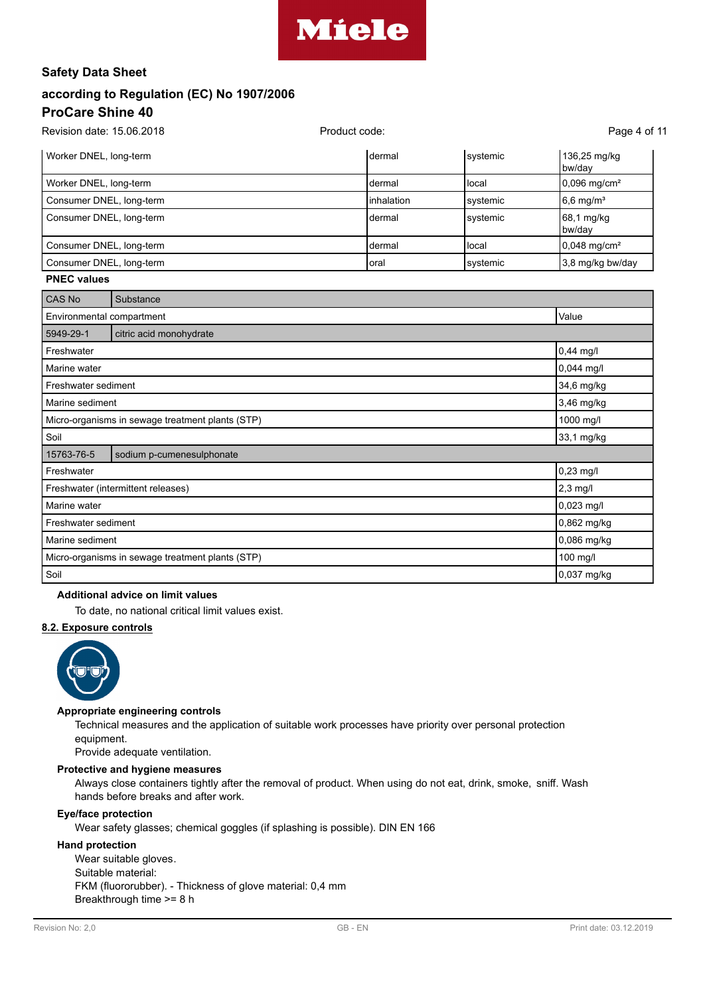

# **according to Regulation (EC) No 1907/2006 ProCare Shine 40**

| Revision date: 15.06.2018 | Product code:       |          |                            |  |
|---------------------------|---------------------|----------|----------------------------|--|
| Worker DNEL, long-term    | Idermal             | systemic | 136,25 mg/kg<br>bw/dav     |  |
| Worker DNEL, long-term    | ldermal             | l local  | $0,096 \,\mathrm{mg/cm^2}$ |  |
| Consumer DNEL, long-term  | <b>l</b> inhalation | systemic | $6,6$ mg/m <sup>3</sup>    |  |
| Consumer DNEL, long-term  | Idermal             | systemic | $68,1$ mg/kg<br>bw/day     |  |
| Consumer DNEL, long-term  | Idermal             | l local  | $0,048 \text{ mg/cm}^2$    |  |
| Consumer DNEL, long-term  | loral               | systemic | 3,8 mg/kg bw/day           |  |

### **PNEC values**

| CAS No                                           | Substance                                        |              |
|--------------------------------------------------|--------------------------------------------------|--------------|
| Value<br>Environmental compartment               |                                                  |              |
| 5949-29-1                                        | citric acid monohydrate                          |              |
| Freshwater                                       |                                                  | $0,44$ mg/l  |
| Marine water                                     |                                                  | $0,044$ mg/l |
| Freshwater sediment                              |                                                  | 34,6 mg/kg   |
| Marine sediment                                  |                                                  | 3,46 mg/kg   |
| Micro-organisms in sewage treatment plants (STP) |                                                  | 1000 mg/l    |
| Soil                                             |                                                  | 33,1 mg/kg   |
| 15763-76-5                                       | sodium p-cumenesulphonate                        |              |
| Freshwater                                       |                                                  | 0,23 mg/l    |
|                                                  | Freshwater (intermittent releases)               | $2,3$ mg/l   |
| Marine water                                     |                                                  | 0,023 mg/l   |
| Freshwater sediment                              |                                                  | 0,862 mg/kg  |
| Marine sediment                                  |                                                  | 0,086 mg/kg  |
|                                                  | Micro-organisms in sewage treatment plants (STP) | 100 mg/l     |
| Soil                                             |                                                  | 0,037 mg/kg  |

# **Additional advice on limit values**

To date, no national critical limit values exist.

# **8.2. Exposure controls**



### **Appropriate engineering controls**

Technical measures and the application of suitable work processes have priority over personal protection equipment.

Provide adequate ventilation.

#### **Protective and hygiene measures**

Always close containers tightly after the removal of product. When using do not eat, drink, smoke, sniff. Wash hands before breaks and after work.

#### **Eye/face protection**

Wear safety glasses; chemical goggles (if splashing is possible). DIN EN 166

#### **Hand protection**

Wear suitable gloves. Suitable material: FKM (fluororubber). - Thickness of glove material: 0,4 mm Breakthrough time >= 8 h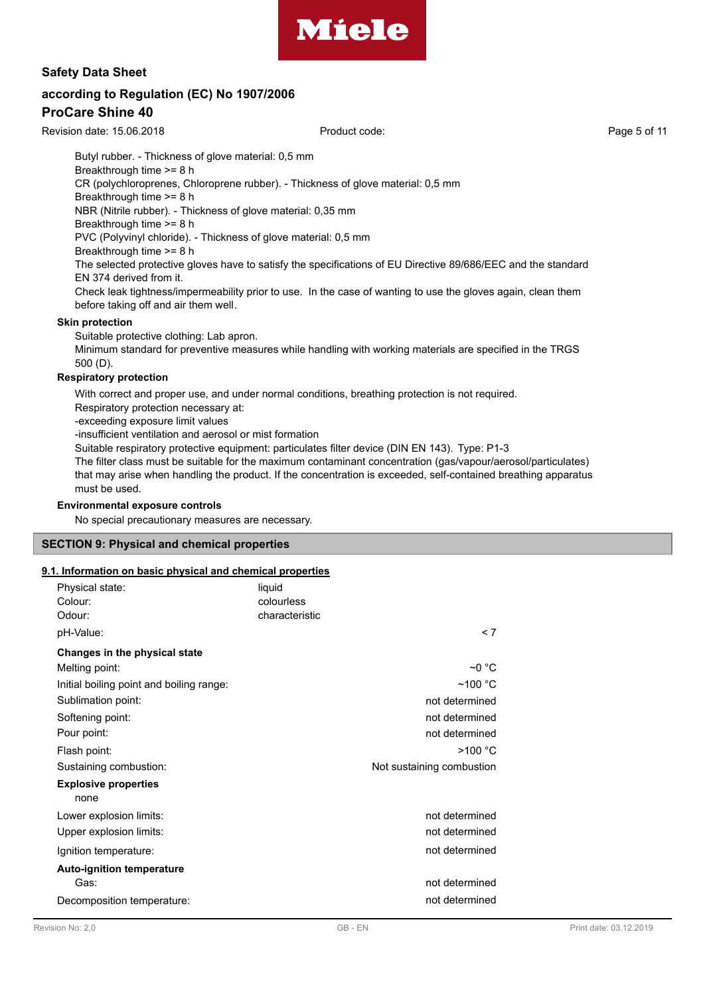

# **according to Regulation (EC) No 1907/2006**

# **ProCare Shine 40**

Revision date: 15.06.2018 Product code: Page 5 of 11

Butyl rubber. - Thickness of glove material: 0,5 mm Breakthrough time >= 8 h CR (polychloroprenes, Chloroprene rubber). - Thickness of glove material: 0,5 mm Breakthrough time >= 8 h NBR (Nitrile rubber). - Thickness of glove material: 0,35 mm Breakthrough time >= 8 h PVC (Polyvinyl chloride). - Thickness of glove material: 0,5 mm Breakthrough time >= 8 h The selected protective gloves have to satisfy the specifications of EU Directive 89/686/EEC and the standard EN 374 derived from it. Check leak tightness/impermeability prior to use. In the case of wanting to use the gloves again, clean them before taking off and air them well.

#### **Skin protection**

Suitable protective clothing: Lab apron.

Minimum standard for preventive measures while handling with working materials are specified in the TRGS 500 (D).

#### **Respiratory protection**

With correct and proper use, and under normal conditions, breathing protection is not required. Respiratory protection necessary at: -exceeding exposure limit values

-insufficient ventilation and aerosol or mist formation

Suitable respiratory protective equipment: particulates filter device (DIN EN 143). Type: P1-3

The filter class must be suitable for the maximum contaminant concentration (gas/vapour/aerosol/particulates) that may arise when handling the product. If the concentration is exceeded, self-contained breathing apparatus must be used.

#### **Environmental exposure controls**

No special precautionary measures are necessary.

## **SECTION 9: Physical and chemical properties**

#### **9.1. Information on basic physical and chemical properties**

| Physical state:<br>Colour:<br>Odour:<br>pH-Value:                                                                                                    | liquid<br>colourless<br>characteristic | < 7                                                                                    |
|------------------------------------------------------------------------------------------------------------------------------------------------------|----------------------------------------|----------------------------------------------------------------------------------------|
| Changes in the physical state<br>Melting point:<br>Initial boiling point and boiling range:<br>Sublimation point:<br>Softening point:<br>Pour point: |                                        | $\sim$ 0 °C<br>$~100~^{\circ}$ C<br>not determined<br>not determined<br>not determined |
| Flash point:<br>Sustaining combustion:<br><b>Explosive properties</b><br>none                                                                        |                                        | >100 °C<br>Not sustaining combustion                                                   |
| Lower explosion limits:<br>Upper explosion limits:<br>Ignition temperature:<br><b>Auto-ignition temperature</b>                                      |                                        | not determined<br>not determined<br>not determined                                     |
| Gas:<br>Decomposition temperature:                                                                                                                   |                                        | not determined<br>not determined                                                       |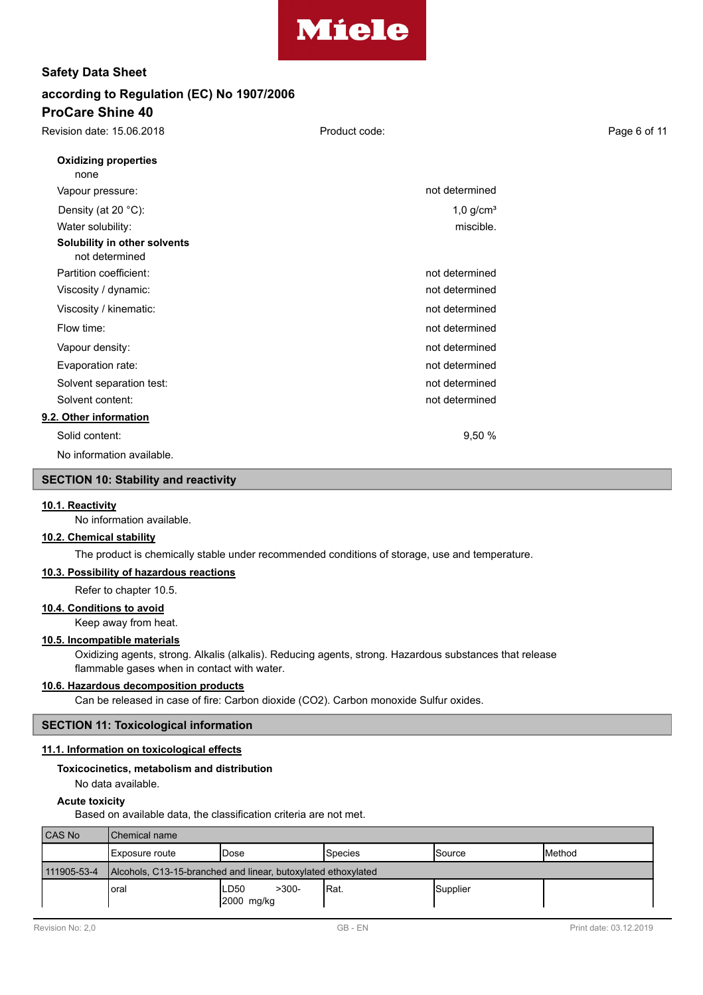

| Revision date: 15.06.2018                      | Product code:           | Page 6 of 11 |
|------------------------------------------------|-------------------------|--------------|
| <b>Oxidizing properties</b><br>none            |                         |              |
| Vapour pressure:                               | not determined          |              |
| Density (at 20 °C):                            | $1,0$ g/cm <sup>3</sup> |              |
| Water solubility:                              | miscible.               |              |
| Solubility in other solvents<br>not determined |                         |              |
| Partition coefficient:                         | not determined          |              |
| Viscosity / dynamic:                           | not determined          |              |
| Viscosity / kinematic:                         | not determined          |              |
| Flow time:                                     | not determined          |              |
| Vapour density:                                | not determined          |              |
| Evaporation rate:                              | not determined          |              |
| Solvent separation test:                       | not determined          |              |
| Solvent content:                               | not determined          |              |
| 9.2. Other information                         |                         |              |
| Solid content:                                 | 9,50%                   |              |
| No information available.                      |                         |              |

#### **SECTION 10: Stability and reactivity**

#### **10.1. Reactivity**

No information available.

# **10.2. Chemical stability**

The product is chemically stable under recommended conditions of storage, use and temperature.

#### **10.3. Possibility of hazardous reactions**

Refer to chapter 10.5.

#### **10.4. Conditions to avoid**

Keep away from heat.

### **10.5. Incompatible materials**

Oxidizing agents, strong. Alkalis (alkalis). Reducing agents, strong. Hazardous substances that release flammable gases when in contact with water.

#### **10.6. Hazardous decomposition products**

Can be released in case of fire: Carbon dioxide (CO2). Carbon monoxide Sulfur oxides.

#### **SECTION 11: Toxicological information**

#### **11.1. Information on toxicological effects**

#### **Toxicocinetics, metabolism and distribution**

No data available.

#### **Acute toxicity**

Based on available data, the classification criteria are not met.

| <b>CAS No</b> | <b>Chemical name</b>                                          |                                 |         |          |                 |  |  |  |  |
|---------------|---------------------------------------------------------------|---------------------------------|---------|----------|-----------------|--|--|--|--|
|               | Exposure route                                                | lDose                           | Species | ISource  | <b>I</b> Method |  |  |  |  |
| 111905-53-4   | Alcohols, C13-15-branched and linear, butoxylated ethoxylated |                                 |         |          |                 |  |  |  |  |
|               | oral                                                          | $>300-$<br>LD50<br>$2000$ mg/kg | IRat.   | Supplier |                 |  |  |  |  |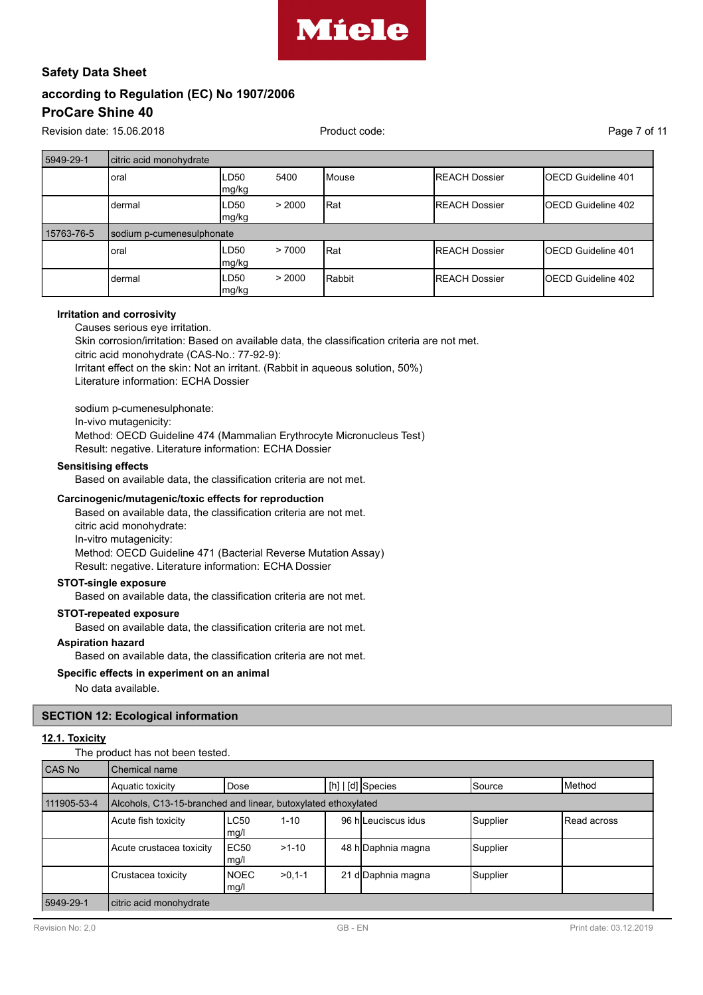

Revision date: 15.06.2018 **Product code:** Product code: Page 7 of 11

| 5949-29-1  | citric acid monohydrate |                 |        |              |                       |                            |  |  |  |  |  |  |  |
|------------|-------------------------|-----------------|--------|--------------|-----------------------|----------------------------|--|--|--|--|--|--|--|
|            | oral                    | ILD50<br> mg/kg | 5400   | <b>Mouse</b> | <b>IREACH Dossier</b> | <b>IOECD Guideline 401</b> |  |  |  |  |  |  |  |
|            | dermal                  | ILD50<br> mg/kg | > 2000 | Rat          | <b>IREACH Dossier</b> | <b>IOECD Guideline 402</b> |  |  |  |  |  |  |  |
| 15763-76-5 |                         |                 |        |              |                       | sodium p-cumenesulphonate  |  |  |  |  |  |  |  |
|            |                         |                 |        |              |                       |                            |  |  |  |  |  |  |  |
|            | oral                    | ILD50<br>mg/kg  | >7000  | Rat          | <b>IREACH Dossier</b> | <b>IOECD Guideline 401</b> |  |  |  |  |  |  |  |

#### **Irritation and corrosivity**

Causes serious eye irritation. Skin corrosion/irritation: Based on available data, the classification criteria are not met. citric acid monohydrate (CAS-No.: 77-92-9): Irritant effect on the skin: Not an irritant. (Rabbit in aqueous solution, 50%) Literature information: ECHA Dossier

sodium p-cumenesulphonate: In-vivo mutagenicity: Method: OECD Guideline 474 (Mammalian Erythrocyte Micronucleus Test) Result: negative. Literature information: ECHA Dossier

# **Sensitising effects**

Based on available data, the classification criteria are not met.

#### **Carcinogenic/mutagenic/toxic effects for reproduction**

Based on available data, the classification criteria are not met. citric acid monohydrate: In-vitro mutagenicity: Method: OECD Guideline 471 (Bacterial Reverse Mutation Assay) Result: negative. Literature information: ECHA Dossier

#### **STOT-single exposure**

Based on available data, the classification criteria are not met.

### **STOT-repeated exposure**

Based on available data, the classification criteria are not met.

#### **Aspiration hazard**

Based on available data, the classification criteria are not met.

#### **Specific effects in experiment on an animal**

No data available.

#### **SECTION 12: Ecological information**

#### **12.1. Toxicity**

The product has not been tested.

| CAS No      | Chemical name                                                 |                                 |  |  |                     |          |                 |  |  |
|-------------|---------------------------------------------------------------|---------------------------------|--|--|---------------------|----------|-----------------|--|--|
|             | Aquatic toxicity                                              | Dose                            |  |  | $[h]   [d]$ Species | ISource  | <b>I</b> Method |  |  |
| 111905-53-4 | Alcohols, C13-15-branched and linear, butoxylated ethoxylated |                                 |  |  |                     |          |                 |  |  |
|             | Acute fish toxicity                                           | LC50<br>$1 - 10$<br>mg/l        |  |  | 96 hlLeuciscus idus | Supplier | Read across     |  |  |
|             | Acute crustacea toxicity                                      | EC50<br>$>1-10$<br>mg/l         |  |  | 48 h Daphnia magna  | Supplier |                 |  |  |
|             | Crustacea toxicity                                            | <b>NOEC</b><br>$>0,1-1$<br>mg/l |  |  | 21 d Daphnia magna  | Supplier |                 |  |  |
| 5949-29-1   | citric acid monohydrate                                       |                                 |  |  |                     |          |                 |  |  |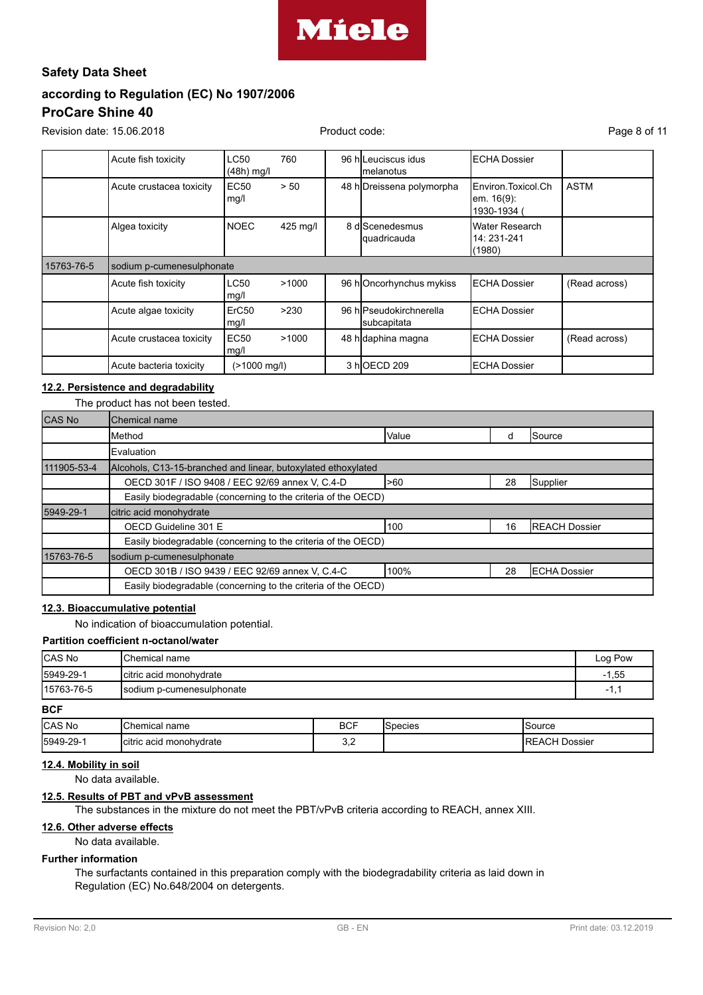

Revision date: 15.06.2018 **Product code:** Product code: Page 8 of 11

|            | Acute fish toxicity       | <b>LC50</b><br>$(48h)$ mg/l | 760      |  | 96 hlLeuciscus idus<br>Imelanotus      | <b>ECHA Dossier</b>                                    |               |
|------------|---------------------------|-----------------------------|----------|--|----------------------------------------|--------------------------------------------------------|---------------|
|            | Acute crustacea toxicity  | <b>EC50</b><br>mg/l         | > 50     |  | 48 hOreissena polymorpha               | Environ Toxicol Ch<br><b>em.</b> 16(9):<br>1930-1934 ( | <b>ASTM</b>   |
|            | Algea toxicity            | <b>NOEC</b>                 | 425 mg/l |  | 8 dlScenedesmus<br><b>quadricauda</b>  | Water Research<br>14: 231-241<br>(1980)                |               |
| 15763-76-5 | sodium p-cumenesulphonate |                             |          |  |                                        |                                                        |               |
|            | Acute fish toxicity       | <b>LC50</b><br>mg/l         | >1000    |  | 96 hOncorhynchus mykiss                | <b>ECHA Dossier</b>                                    | (Read across) |
|            | Acute algae toxicity      | ErC <sub>50</sub><br>mg/l   | >230     |  | 96 hlPseudokirchnerella<br>subcapitata | <b>ECHA Dossier</b>                                    |               |
|            | Acute crustacea toxicity  | <b>EC50</b><br>mg/l         | >1000    |  | 48 hodaphina magna                     | <b>ECHA Dossier</b>                                    | (Read across) |
|            | Acute bacteria toxicity   | (>1000 mg/l)                |          |  | 3 hOECD 209                            | <b>ECHA Dossier</b>                                    |               |

### **12.2. Persistence and degradability**

### The product has not been tested.

| <b>CAS No</b> | Chemical name                                                 |       |    |                       |
|---------------|---------------------------------------------------------------|-------|----|-----------------------|
|               | Method                                                        | Value | d  | Source                |
|               | Evaluation                                                    |       |    |                       |
| 111905-53-4   | Alcohols, C13-15-branched and linear, butoxylated ethoxylated |       |    |                       |
|               | OECD 301F / ISO 9408 / EEC 92/69 annex V, C.4-D               | >60   | 28 | Supplier              |
|               | Easily biodegradable (concerning to the criteria of the OECD) |       |    |                       |
| 5949-29-1     | citric acid monohydrate                                       |       |    |                       |
|               | OECD Guideline 301 E                                          | 100   | 16 | <b>IREACH Dossier</b> |
|               | Easily biodegradable (concerning to the criteria of the OECD) |       |    |                       |
| 15763-76-5    | sodium p-cumenesulphonate                                     |       |    |                       |
|               | OECD 301B / ISO 9439 / EEC 92/69 annex V, C.4-C               | 100%  | 28 | <b>ECHA Dossier</b>   |
|               | Easily biodegradable (concerning to the criteria of the OECD) |       |    |                       |

### **12.3. Bioaccumulative potential**

No indication of bioaccumulation potential.

#### **Partition coefficient n-octanol/water**

| <b>CAS No</b> | <b>I</b> Chemical name    | Log Pow    |
|---------------|---------------------------|------------|
| 5949-29-1     | Icitric acid monohydrate  | $-1,55$    |
| 15763-76-5    | sodium p-cumenesulphonate | - 1<br>. . |
| <b>DOC</b>    |                           |            |

#### **BCF**

| <b>CAS No</b> | Chemical name            | <b>BCF</b> | species | Source               |
|---------------|--------------------------|------------|---------|----------------------|
| 5949-29-      | Icitric acid monohydrate | -<br>◡.    |         | <b>REACH Dossier</b> |

#### **12.4. Mobility in soil**

No data available.

# **12.5. Results of PBT and vPvB assessment**

The substances in the mixture do not meet the PBT/vPvB criteria according to REACH, annex XIII.

# **12.6. Other adverse effects**

No data available.

#### **Further information**

The surfactants contained in this preparation comply with the biodegradability criteria as laid down in Regulation (EC) No.648/2004 on detergents.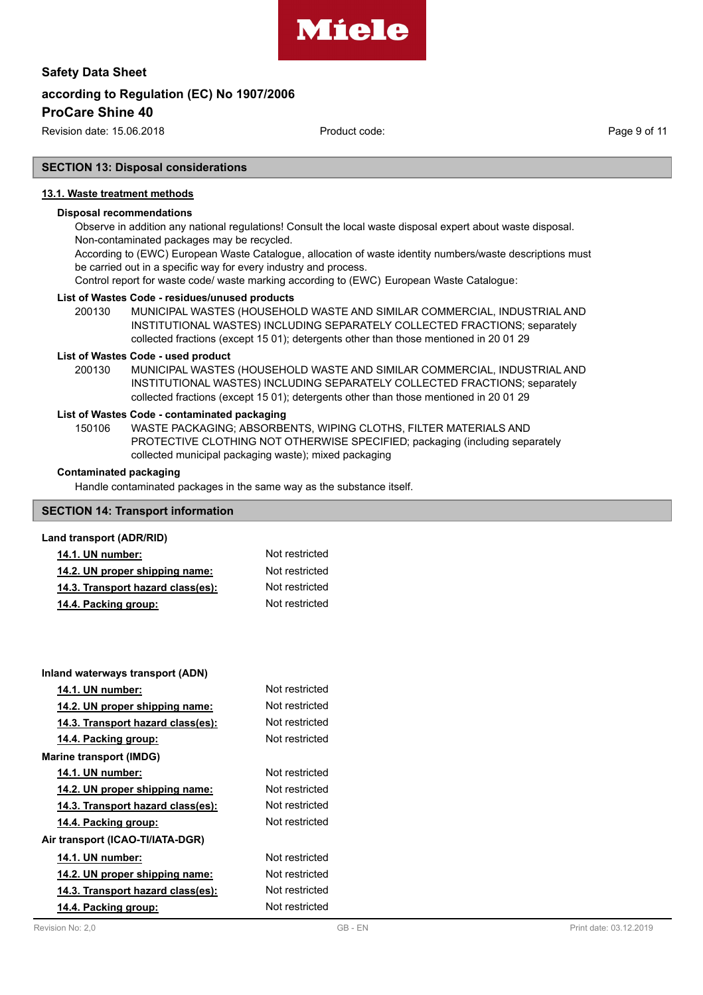

Revision date: 15.06.2018 Product code: Page 9 of 11

### **SECTION 13: Disposal considerations**

#### **13.1. Waste treatment methods**

### **Disposal recommendations**

Observe in addition any national regulations! Consult the local waste disposal expert about waste disposal. Non-contaminated packages may be recycled.

According to (EWC) European Waste Catalogue, allocation of waste identity numbers/waste descriptions must be carried out in a specific way for every industry and process.

Control report for waste code/ waste marking according to (EWC) European Waste Catalogue:

#### **List of Wastes Code - residues/unused products**

200130 MUNICIPAL WASTES (HOUSEHOLD WASTE AND SIMILAR COMMERCIAL, INDUSTRIAL AND INSTITUTIONAL WASTES) INCLUDING SEPARATELY COLLECTED FRACTIONS; separately collected fractions (except 15 01); detergents other than those mentioned in 20 01 29

#### **List of Wastes Code - used product**

MUNICIPAL WASTES (HOUSEHOLD WASTE AND SIMILAR COMMERCIAL, INDUSTRIAL AND INSTITUTIONAL WASTES) INCLUDING SEPARATELY COLLECTED FRACTIONS; separately collected fractions (except 15 01); detergents other than those mentioned in 20 01 29 200130

#### **List of Wastes Code - contaminated packaging**

WASTE PACKAGING; ABSORBENTS, WIPING CLOTHS, FILTER MATERIALS AND PROTECTIVE CLOTHING NOT OTHERWISE SPECIFIED; packaging (including separately collected municipal packaging waste); mixed packaging 150106

#### **Contaminated packaging**

Handle contaminated packages in the same way as the substance itself.

# **SECTION 14: Transport information**

#### **Land transport (ADR/RID)**

| <b>14.1. UN number:</b>           | Not restricted |
|-----------------------------------|----------------|
| 14.2. UN proper shipping name:    | Not restricted |
| 14.3. Transport hazard class(es): | Not restricted |
| 14.4. Packing group:              | Not restricted |

| Inland waterways transport (ADN)  |                |  |
|-----------------------------------|----------------|--|
| 14.1. UN number:                  | Not restricted |  |
| 14.2. UN proper shipping name:    | Not restricted |  |
| 14.3. Transport hazard class(es): | Not restricted |  |
| 14.4. Packing group:              | Not restricted |  |
| <b>Marine transport (IMDG)</b>    |                |  |
| 14.1. UN number:                  | Not restricted |  |
| 14.2. UN proper shipping name:    | Not restricted |  |
| 14.3. Transport hazard class(es): | Not restricted |  |
| 14.4. Packing group:              | Not restricted |  |
| Air transport (ICAO-TI/IATA-DGR)  |                |  |
| 14.1. UN number:                  | Not restricted |  |
| 14.2. UN proper shipping name:    | Not restricted |  |
| 14.3. Transport hazard class(es): | Not restricted |  |
| 14.4. Packing group:              | Not restricted |  |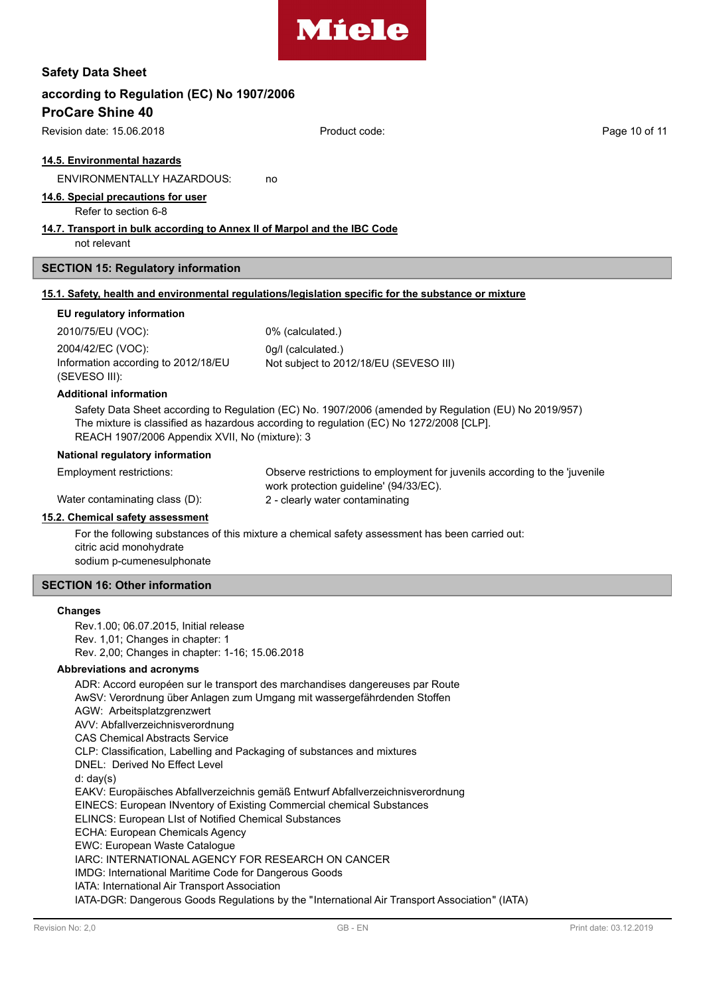

# **according to Regulation (EC) No 1907/2006**

# **ProCare Shine 40**

Revision date: 15.06.2018 **Product code:** Product code: Page 10 of 11

#### **14.5. Environmental hazards**

ENVIRONMENTALLY HAZARDOUS: no

#### **14.6. Special precautions for user**

Refer to section 6-8

#### **14.7. Transport in bulk according to Annex II of Marpol and the IBC Code**

not relevant

#### **SECTION 15: Regulatory information**

#### **15.1. Safety, health and environmental regulations/legislation specific for the substance or mixture**

#### **EU regulatory information**

2010/75/EU (VOC): 0% (calculated.) 2004/42/EC (VOC): 0g/l (calculated.) Information according to 2012/18/EU (SEVESO III):

Not subject to 2012/18/EU (SEVESO III)

#### **Additional information**

Safety Data Sheet according to Regulation (EC) No. 1907/2006 (amended by Regulation (EU) No 2019/957) The mixture is classified as hazardous according to regulation (EC) No 1272/2008 [CLP]. REACH 1907/2006 Appendix XVII, No (mixture): 3

#### **National regulatory information**

Employment restrictions:

Water contaminating class (D): 2 - clearly water contaminating

Observe restrictions to employment for juvenils according to the 'juvenile work protection guideline' (94/33/EC).

#### **15.2. Chemical safety assessment**

For the following substances of this mixture a chemical safety assessment has been carried out: citric acid monohydrate sodium p-cumenesulphonate

#### **SECTION 16: Other information**

#### **Changes**

Rev.1.00; 06.07.2015, Initial release Rev. 1,01; Changes in chapter: 1 Rev. 2,00; Changes in chapter: 1-16; 15.06.2018

#### **Abbreviations and acronyms**

ADR: Accord européen sur le transport des marchandises dangereuses par Route AwSV: Verordnung über Anlagen zum Umgang mit wassergefährdenden Stoffen AGW: Arbeitsplatzgrenzwert AVV: Abfallverzeichnisverordnung CAS Chemical Abstracts Service CLP: Classification, Labelling and Packaging of substances and mixtures DNEL: Derived No Effect Level d: day(s) EAKV: Europäisches Abfallverzeichnis gemäß Entwurf Abfallverzeichnisverordnung EINECS: European INventory of Existing Commercial chemical Substances ELINCS: European LIst of Notified Chemical Substances ECHA: European Chemicals Agency EWC: European Waste Catalogue IARC: INTERNATIONAL AGENCY FOR RESEARCH ON CANCER IMDG: International Maritime Code for Dangerous Goods IATA: International Air Transport Association IATA-DGR: Dangerous Goods Regulations by the "International Air Transport Association" (IATA)